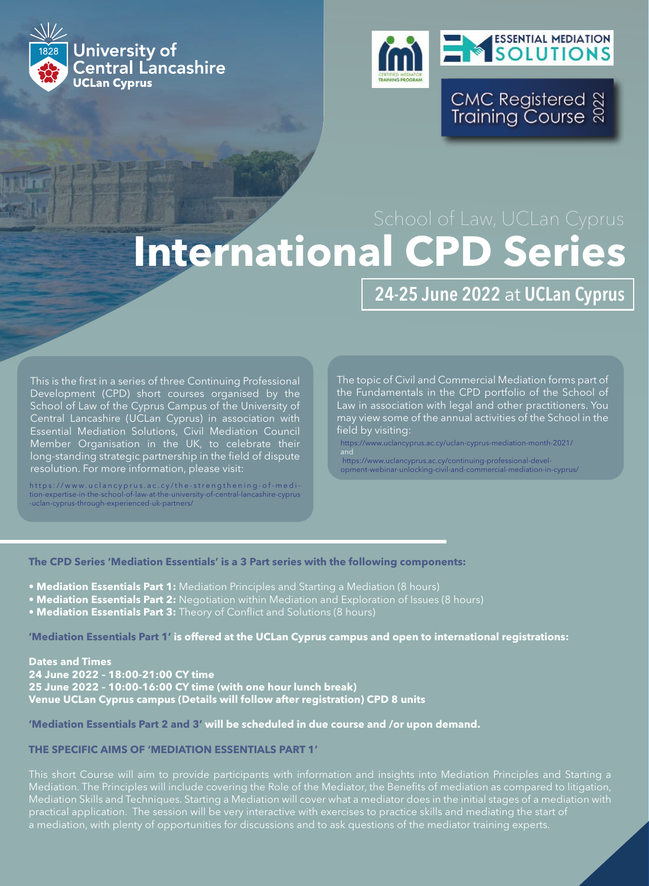



CMC Registered ଷ୍ଟ<br>Training Course ଷ

# **International CPD Series**

# 24-25 June 2022 at UCLan Cyprus

This is the first in a series of three Continuing Professional Development (CPD) short courses organised by the School of Law of the Cyprus Campus of the University of Central Lancashire (UCLan Cyprus) in association with Essential Mediation Solutions, Civil Mediation Council Member Organisation in the UK, to celebrate their long-standing strategic partnership in the field of dispute resolution. For more information, please visit:

https://www.uclancyprus.ac.cy/the-strengthening-of-medi  $t_{\text{ion-exmetric-in-the-school-of-law-at-the-university-of-}$ -uclan-cyprus-through-experienced-uk-partners/

The topic of Civil and Commercial Mediation forms part of the Fundamentals in the CPD portfolio of the School of Law in association with legal and other practitioners. You may view some of the annual activities of the School in the field by visiting:

https://www.uclancyprus.ac.cy/uclan-cyprus-mediation-month-2021/

and https://www.uclancyprus.ac.cy/continuing-professional-development-webinar-unlocking-civil-and-commercial-mediation-in-cyprus/

# **The CPD Series 'Mediation Essentials' is a 3 Part series with the following components:**

- **Mediation Essentials Part 1:** Mediation Principles and Starting a Mediation (8 hours)
- **Mediation Essentials Part 2:** Negotiation within Mediation and Exploration of Issues (8 hours)
- **Mediation Essentials Part 3:** Theory of Conflict and Solutions (8 hours)

**'Mediation Essentials Part 1' is offered at the UCLan Cyprus campus and open to international registrations:**

**Dates and Times 24 June 2022 – 18:00-21:00 CY time 25 June 2022 – 10:00-16:00 CY time (with one hour lunch break) Venue UCLan Cyprus campus (Details will follow after registration) CPD 8 units**

#### **'Mediation Essentials Part 2 and 3' will be scheduled in due course and /or upon demand.**

## **THE SPECIFIC AIMS OF 'MEDIATION ESSENTIALS PART 1'**

Mediation Skills and Techniques. Starting a Mediation will cover what a mediator does in the initial stages of a mediation with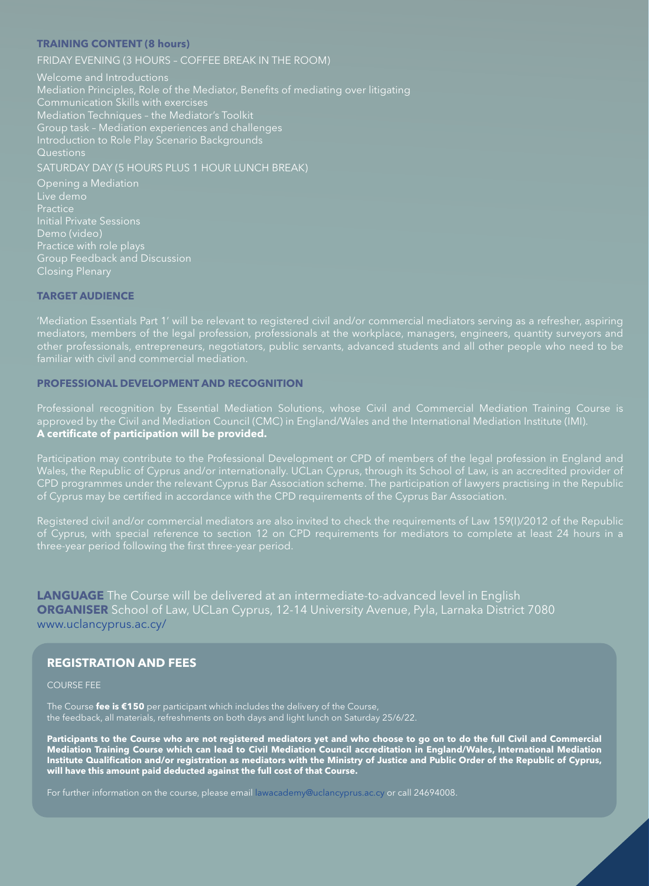### **TRAINING CONTENT (8 hours)**

FRIDAY EVENING (3 HOURS – COFFEE BREAK IN THE ROOM)

Welcome and Introductions Mediation Principles, Role of the Mediator, Benefits of mediating over litigating Communication Skills with exercises Mediation Techniques – the Mediator's Toolkit Questions SATURDAY DAY (5 HOURS PLUS 1 HOUR LUNCH BREAK)

Practice Initial Private Sessions Demo (video) practice with role plays Group Feedback and Discussion Closing Plenary

## **TARGET AUDIENCE**

'Mediation Essentials Part 1' will be relevant to registered civil and/or commercial mediators serving as a refresher, aspiring other professionals, entrepreneurs, negotiators, public servants, advanced students and all other people who need to be familiar with civil and commercial mediation.

# **PROFESSIONAL DEVELOPMENT AND RECOGNITION**

**A certificate of participation will be provided.**

Participation may contribute to the Professional Development or CPD of members of the legal profession in England and CPD programmes under the relevant Cyprus Bar Association scheme. The participation of lawyers practising in the Republic of Cyprus may be certified in accordance with the CPD requirements of the Cyprus Bar Association.

Registered civil and/or commercial mediators are also invited to check the requirements of Law 159(I)/2012 of the Republic three-year period following the first three-year period.

**LANGUAGE** The Course will be delivered at an intermediate-to-advanced level in English **ORGANISER** School of Law, UCLan Cyprus, 12-14 University Avenue, Pyla, Larnaka District 7080 www.uclancyprus.ac.cy/

# **REGISTRATION AND FEES**

#### COURSE FEE

The Course **fee is €150** per participant which includes the delivery of the Course, the feedback, all materials, refreshments on both days and light lunch on Saturday 25/6/22.

Participants to the Course who are not registered mediators yet and who choose to go on to do the full Civil and Commercial<br>Mediation Training Course which can lead to Civil Mediation Council accreditation in England/Wales **will have this amount paid deducted against the full cost of that Course.**

For further information on the course, please email lawacademy@uclancyprus.ac.cy or call 24694008.